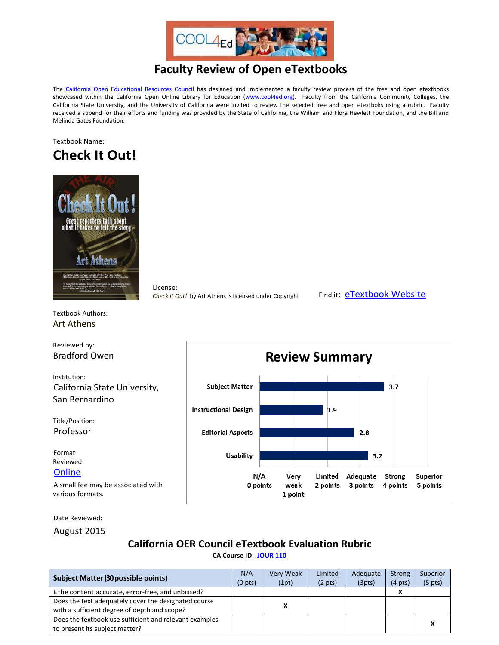

# **Faculty Review of Open eTextbooks**

The [California Open Educational Resources Council](http://icas-ca.org/coerc) has designed and implemented a faculty review process of the free and open etextbooks showcased within the California Open Online Library for Education [\(www.cool4ed.org\)](http://www.cool4ed.org/). Faculty from the California Community Colleges, the California State University, and the University of California were invited to review the selected free and open etextboks using a rubric. Faculty received a stipend for their efforts and funding was provided by the State of California, the William and Flora Hewlett Foundation, and the Bill and Melinda Gates Foundation.

#### Textbook Name: **Check It Out!**



License: *Check It Out!* by Art Athens is licensed under Copyright Find it: **[eTextbook Website](http://fordham.bepress.com/cgi/viewcontent.cgi?article=1000&context=media_stud)** 

Textbook Authors: Art Athens

Reviewed by: Bradford Owen

Institution: California State University, San Bernardino

Title/Position: Professor

Format Reviewed:

### **[Online](http://fordham.bepress.com/cgi/viewcontent.cgi?article=1000&context=media_stud)**

A small fee may be associated with various formats.



Date Reviewed:

August 2015

## **California OER Council eTextbook Evaluation Rubric**

**[CA Course ID:](https://c-id.net/about.html) [JOUR 110](https://c-id.net/descriptor_details.html?descriptor=375)**

| <b>Subject Matter (30 possible points)</b>             |  | Very Weak | Limited           | Adequate | <b>Strong</b>     | Superior          |
|--------------------------------------------------------|--|-----------|-------------------|----------|-------------------|-------------------|
|                                                        |  | (1pt)     | $(2 \text{ pts})$ | (3pts)   | $(4 \text{ pts})$ | $(5 \text{ pts})$ |
| s the content accurate, error-free, and unbiased?      |  |           |                   |          |                   |                   |
| Does the text adequately cover the designated course   |  | x         |                   |          |                   |                   |
| with a sufficient degree of depth and scope?           |  |           |                   |          |                   |                   |
| Does the textbook use sufficient and relevant examples |  |           |                   |          |                   |                   |
| to present its subject matter?                         |  |           |                   |          |                   |                   |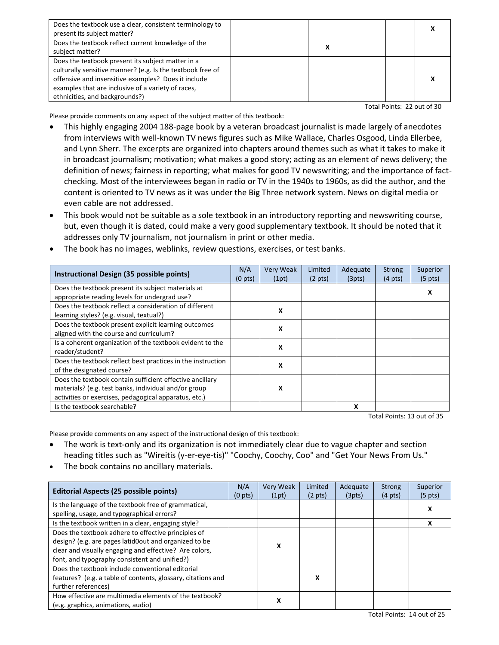| Does the textbook use a clear, consistent terminology to<br>present its subject matter?                                                                                                                                                                        |  |  |  |
|----------------------------------------------------------------------------------------------------------------------------------------------------------------------------------------------------------------------------------------------------------------|--|--|--|
| Does the textbook reflect current knowledge of the<br>subject matter?                                                                                                                                                                                          |  |  |  |
| Does the textbook present its subject matter in a<br>culturally sensitive manner? (e.g. Is the textbook free of<br>offensive and insensitive examples? Does it include<br>examples that are inclusive of a variety of races,<br>ethnicities, and backgrounds?) |  |  |  |

Total Points: 22 out of 30

Please provide comments on any aspect of the subject matter of this textbook:

- This highly engaging 2004 188-page book by a veteran broadcast journalist is made largely of anecdotes from interviews with well-known TV news figures such as Mike Wallace, Charles Osgood, Linda Ellerbee, and Lynn Sherr. The excerpts are organized into chapters around themes such as what it takes to make it in broadcast journalism; motivation; what makes a good story; acting as an element of news delivery; the definition of news; fairness in reporting; what makes for good TV newswriting; and the importance of factchecking. Most of the interviewees began in radio or TV in the 1940s to 1960s, as did the author, and the content is oriented to TV news as it was under the Big Three network system. News on digital media or even cable are not addressed.
- This book would not be suitable as a sole textbook in an introductory reporting and newswriting course, but, even though it is dated, could make a very good supplementary textbook. It should be noted that it addresses only TV journalism, not journalism in print or other media.

| Instructional Design (35 possible points)                                                                                                                                 | N/A<br>(0 <sub>pts</sub> ) | Very Weak<br>(1pt) | Limited<br>$(2 \text{ pts})$ | Adequate<br>(3pts) | <b>Strong</b><br>$(4 \text{ pts})$ | Superior<br>$(5 \text{ pts})$ |
|---------------------------------------------------------------------------------------------------------------------------------------------------------------------------|----------------------------|--------------------|------------------------------|--------------------|------------------------------------|-------------------------------|
| Does the textbook present its subject materials at<br>appropriate reading levels for undergrad use?                                                                       |                            |                    |                              |                    |                                    |                               |
| Does the textbook reflect a consideration of different<br>learning styles? (e.g. visual, textual?)                                                                        |                            | X                  |                              |                    |                                    |                               |
| Does the textbook present explicit learning outcomes<br>aligned with the course and curriculum?                                                                           |                            | x                  |                              |                    |                                    |                               |
| Is a coherent organization of the textbook evident to the<br>reader/student?                                                                                              |                            | x                  |                              |                    |                                    |                               |
| Does the textbook reflect best practices in the instruction<br>of the designated course?                                                                                  |                            | x                  |                              |                    |                                    |                               |
| Does the textbook contain sufficient effective ancillary<br>materials? (e.g. test banks, individual and/or group<br>activities or exercises, pedagogical apparatus, etc.) |                            | x                  |                              |                    |                                    |                               |
| Is the textbook searchable?                                                                                                                                               |                            |                    |                              | x                  |                                    |                               |

The book has no images, weblinks, review questions, exercises, or test banks.

Total Points: 13 out of 35

Please provide comments on any aspect of the instructional design of this textbook:

- The work is text-only and its organization is not immediately clear due to vague chapter and section heading titles such as "Wireitis (y-er-eye-tis)" "Coochy, Coochy, Coo" and "Get Your News From Us."
- The book contains no ancillary materials.

| <b>Editorial Aspects (25 possible points)</b>                | N/A<br>$(0 \text{ pts})$ | <b>Very Weak</b><br>(1pt) | Limited<br>$(2 \text{ pts})$ | Adequate<br>(3pts) | <b>Strong</b><br>$(4 \text{ pts})$ | Superior<br>$(5 \text{ pts})$ |
|--------------------------------------------------------------|--------------------------|---------------------------|------------------------------|--------------------|------------------------------------|-------------------------------|
| Is the language of the textbook free of grammatical,         |                          |                           |                              |                    |                                    | х                             |
| spelling, usage, and typographical errors?                   |                          |                           |                              |                    |                                    |                               |
| Is the textbook written in a clear, engaging style?          |                          |                           |                              |                    |                                    |                               |
| Does the textbook adhere to effective principles of          |                          |                           |                              |                    |                                    |                               |
| design? (e.g. are pages latid0out and organized to be        |                          | X                         |                              |                    |                                    |                               |
| clear and visually engaging and effective? Are colors,       |                          |                           |                              |                    |                                    |                               |
| font, and typography consistent and unified?)                |                          |                           |                              |                    |                                    |                               |
| Does the textbook include conventional editorial             |                          |                           |                              |                    |                                    |                               |
| features? (e.g. a table of contents, glossary, citations and |                          |                           |                              |                    |                                    |                               |
| further references)                                          |                          |                           |                              |                    |                                    |                               |
| How effective are multimedia elements of the textbook?       |                          |                           |                              |                    |                                    |                               |
| (e.g. graphics, animations, audio)                           |                          | х                         |                              |                    |                                    |                               |